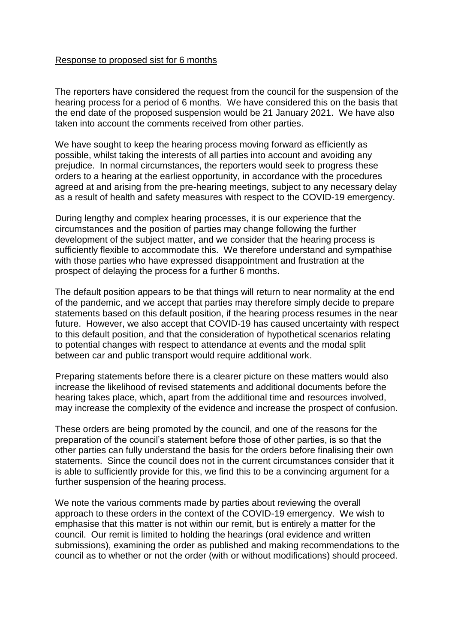## Response to proposed sist for 6 months

The reporters have considered the request from the council for the suspension of the hearing process for a period of 6 months. We have considered this on the basis that the end date of the proposed suspension would be 21 January 2021. We have also taken into account the comments received from other parties.

We have sought to keep the hearing process moving forward as efficiently as possible, whilst taking the interests of all parties into account and avoiding any prejudice. In normal circumstances, the reporters would seek to progress these orders to a hearing at the earliest opportunity, in accordance with the procedures agreed at and arising from the pre-hearing meetings, subject to any necessary delay as a result of health and safety measures with respect to the COVID-19 emergency.

During lengthy and complex hearing processes, it is our experience that the circumstances and the position of parties may change following the further development of the subject matter, and we consider that the hearing process is sufficiently flexible to accommodate this. We therefore understand and sympathise with those parties who have expressed disappointment and frustration at the prospect of delaying the process for a further 6 months.

The default position appears to be that things will return to near normality at the end of the pandemic, and we accept that parties may therefore simply decide to prepare statements based on this default position, if the hearing process resumes in the near future. However, we also accept that COVID-19 has caused uncertainty with respect to this default position, and that the consideration of hypothetical scenarios relating to potential changes with respect to attendance at events and the modal split between car and public transport would require additional work.

Preparing statements before there is a clearer picture on these matters would also increase the likelihood of revised statements and additional documents before the hearing takes place, which, apart from the additional time and resources involved, may increase the complexity of the evidence and increase the prospect of confusion.

These orders are being promoted by the council, and one of the reasons for the preparation of the council's statement before those of other parties, is so that the other parties can fully understand the basis for the orders before finalising their own statements. Since the council does not in the current circumstances consider that it is able to sufficiently provide for this, we find this to be a convincing argument for a further suspension of the hearing process.

We note the various comments made by parties about reviewing the overall approach to these orders in the context of the COVID-19 emergency. We wish to emphasise that this matter is not within our remit, but is entirely a matter for the council. Our remit is limited to holding the hearings (oral evidence and written submissions), examining the order as published and making recommendations to the council as to whether or not the order (with or without modifications) should proceed.